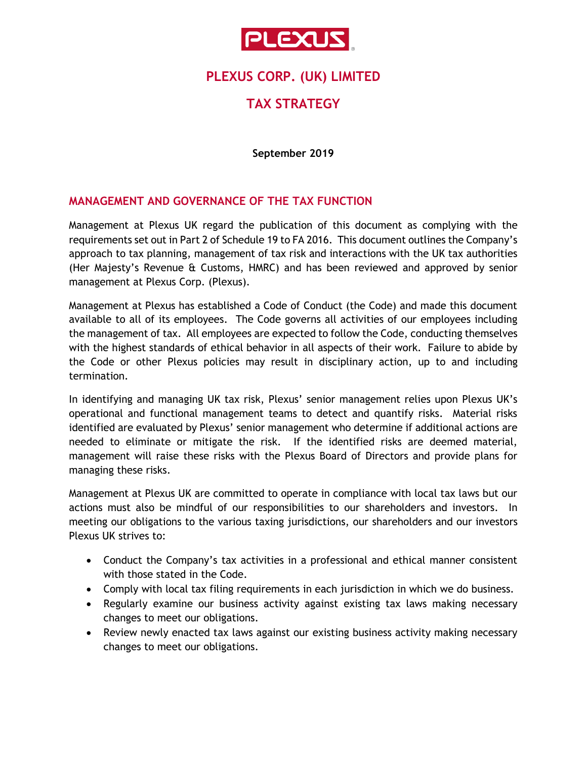

## **PLEXUS CORP. (UK) LIMITED**

# **TAX STRATEGY**

**September 2019**

#### **MANAGEMENT AND GOVERNANCE OF THE TAX FUNCTION**

Management at Plexus UK regard the publication of this document as complying with the requirements set out in Part 2 of Schedule 19 to FA 2016. This document outlines the Company's approach to tax planning, management of tax risk and interactions with the UK tax authorities (Her Majesty's Revenue & Customs, HMRC) and has been reviewed and approved by senior management at Plexus Corp. (Plexus).

Management at Plexus has established a Code of Conduct (the Code) and made this document available to all of its employees. The Code governs all activities of our employees including the management of tax. All employees are expected to follow the Code, conducting themselves with the highest standards of ethical behavior in all aspects of their work. Failure to abide by the Code or other Plexus policies may result in disciplinary action, up to and including termination.

In identifying and managing UK tax risk, Plexus' senior management relies upon Plexus UK's operational and functional management teams to detect and quantify risks. Material risks identified are evaluated by Plexus' senior management who determine if additional actions are needed to eliminate or mitigate the risk. If the identified risks are deemed material, management will raise these risks with the Plexus Board of Directors and provide plans for managing these risks.

Management at Plexus UK are committed to operate in compliance with local tax laws but our actions must also be mindful of our responsibilities to our shareholders and investors. In meeting our obligations to the various taxing jurisdictions, our shareholders and our investors Plexus UK strives to:

- Conduct the Company's tax activities in a professional and ethical manner consistent with those stated in the Code.
- Comply with local tax filing requirements in each jurisdiction in which we do business.
- Regularly examine our business activity against existing tax laws making necessary changes to meet our obligations.
- Review newly enacted tax laws against our existing business activity making necessary changes to meet our obligations.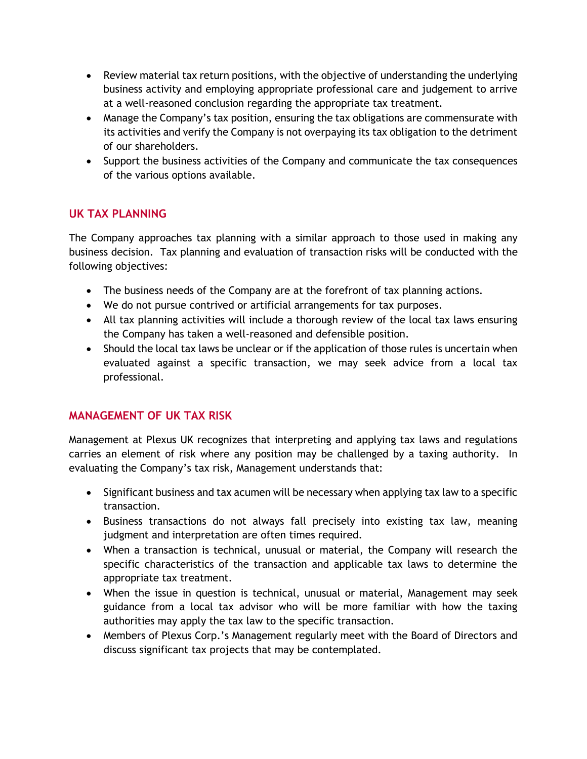- Review material tax return positions, with the objective of understanding the underlying business activity and employing appropriate professional care and judgement to arrive at a well-reasoned conclusion regarding the appropriate tax treatment.
- Manage the Company's tax position, ensuring the tax obligations are commensurate with its activities and verify the Company is not overpaying its tax obligation to the detriment of our shareholders.
- Support the business activities of the Company and communicate the tax consequences of the various options available.

### **UK TAX PLANNING**

The Company approaches tax planning with a similar approach to those used in making any business decision. Tax planning and evaluation of transaction risks will be conducted with the following objectives:

- The business needs of the Company are at the forefront of tax planning actions.
- We do not pursue contrived or artificial arrangements for tax purposes.
- All tax planning activities will include a thorough review of the local tax laws ensuring the Company has taken a well-reasoned and defensible position.
- Should the local tax laws be unclear or if the application of those rules is uncertain when evaluated against a specific transaction, we may seek advice from a local tax professional.

## **MANAGEMENT OF UK TAX RISK**

Management at Plexus UK recognizes that interpreting and applying tax laws and regulations carries an element of risk where any position may be challenged by a taxing authority. In evaluating the Company's tax risk, Management understands that:

- Significant business and tax acumen will be necessary when applying tax law to a specific transaction.
- Business transactions do not always fall precisely into existing tax law, meaning judgment and interpretation are often times required.
- When a transaction is technical, unusual or material, the Company will research the specific characteristics of the transaction and applicable tax laws to determine the appropriate tax treatment.
- When the issue in question is technical, unusual or material, Management may seek guidance from a local tax advisor who will be more familiar with how the taxing authorities may apply the tax law to the specific transaction.
- Members of Plexus Corp.'s Management regularly meet with the Board of Directors and discuss significant tax projects that may be contemplated.